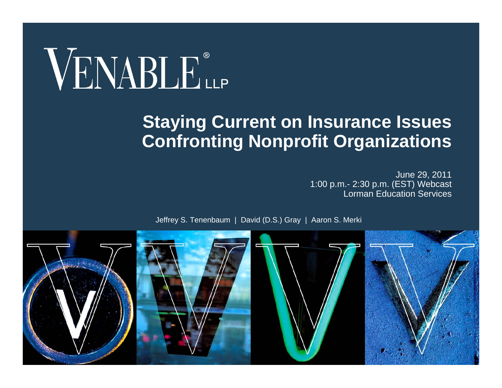# VENABLE®

#### **Staying Current on Insurance Issues Confronting Nonprofit Organizations**

June 29, 2011 1:00 p.m.- 2:30 p.m. (EST) Webcast Lorman Education Services



Jeffrey S. Tenenbaum | David (D.S.) Gray | Aaron S. Merki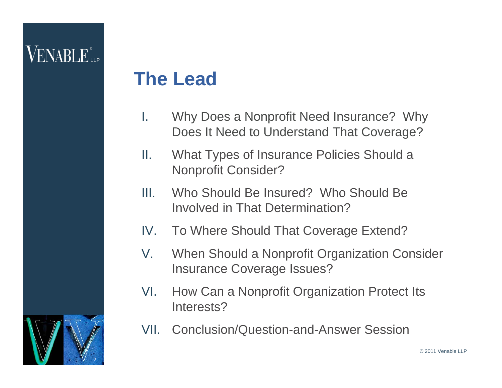# $\mathsf{V}\mathrm{ENARI}\,\mathrm{E}$ ile

#### **The Lead**

- I. Why Does a Nonprofit Need Insurance? Why Does It Need to Understand That Coverage?
- II. What Types of Insurance Policies Should a Nonprofit Consider?
- III. Who Should Be Insured? Who Should Be Involved in That Determination?
- IV.To Where Should That Coverage Extend?
- $V_{-}$  When Should a Nonprofit Organization Consider Insurance Coverage Issues?
- VI. How Can a Nonprofit Organization Protect Its Interests?
- VII. Conclusion/Question-and-Answer Session



© 2011 Venable LLP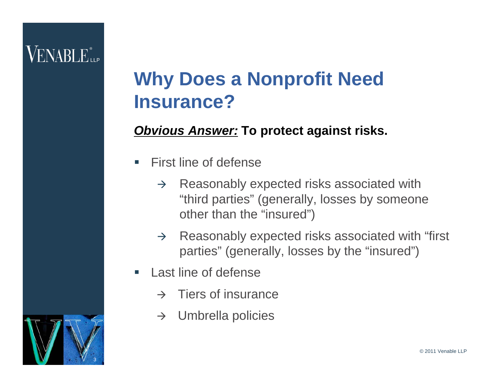#### **Why Does a Nonprofit Need Insurance?**

#### *Obvious Answer:* **To protect against risks.**

- $\overline{\phantom{a}}$  First line of defense
	- $\rightarrow$  Reasonably expected risks associated with "third parties" (generally, losses by someone other than the "insured")
	- $\rightarrow$  Reasonably expected risks associated with "first parties" (generally, losses by the "insured")
- $\mathcal{L}_{\mathcal{A}}$  Last line of defense
	- $\rightarrow$  Tiers of insurance
	- $\rightarrow$ Umbrella policies

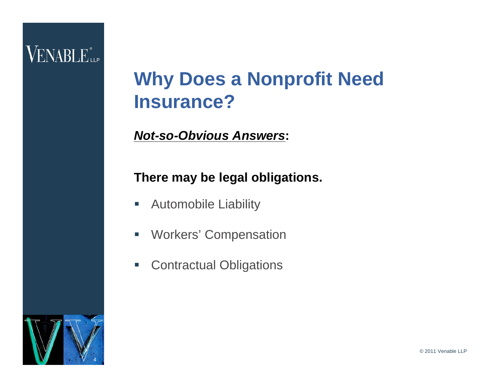#### **Why Does a Nonprofit Need Insurance?**

#### *Not-so-Obvious Answers***:**

#### **There may be legal obligations.**

- $\mathcal{L}_{\mathcal{A}}$ Automobile Liability
- $\overline{\phantom{a}}$ Workers' Compensation
- $\mathcal{L}_{\mathcal{A}}$ Contractual Obligations

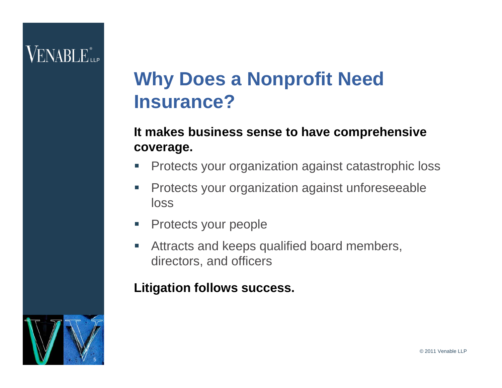#### **Why Does a Nonprofit Need Insurance?**

#### **It makes business sense to have comprehensive coverage.**

- $\Box$ Protects your organization against catastrophic loss
- $\overline{\phantom{a}}$  Protects your organization against unforeseeable loss
- $\overline{\phantom{a}}$ Protects your people
- $\Box$  Attracts and keeps qualified board members, directors, and officers

#### **Litigation follows success.**

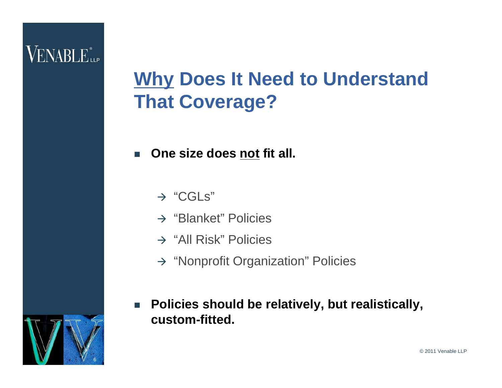# **Why Does It Need to Understand That Coverage?**

- $\mathcal{C}^{\mathcal{A}}$  **One size does not fit all.**
	- $\rightarrow$  "CGLs"
	- $\rightarrow$  "Blanket" Policies
	- $\rightarrow$  "All Risk" Policies
	- $\rightarrow$  "Nonprofit Organization" Policies
- $\mathbb{R}^n$  **Policies should be relatively, but realistically, custom-fitted.**

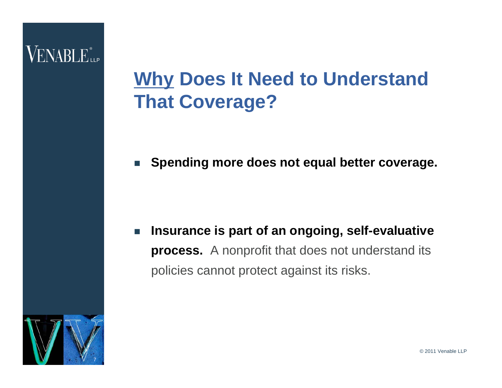## **Why Does It Need to Understand That Coverage?**

 $\mathcal{L}^{\text{max}}$ **Spending more does not equal better coverage.**

 $\mathbb{R}^n$  **Insurance is part of an ongoing, self-evaluative process.** A nonprofit that does not understand its policies cannot protect against its risks.



© 2011 Venable LLP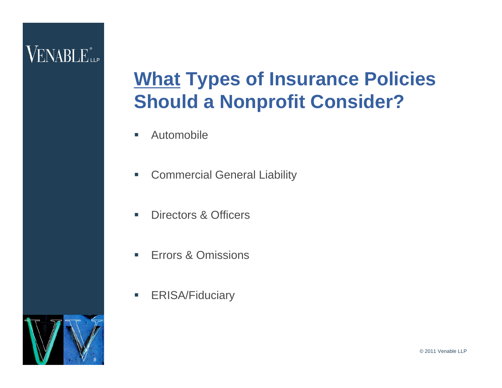# **What Types of Insurance Policies Should a Nonprofit Consider?**

- $\mathcal{L}_{\mathcal{A}}$ Automobile
- $\mathcal{L}_{\mathcal{A}}$ Commercial General Liability
- $\mathcal{L}_{\mathcal{A}}$ Directors & Officers
- $\mathcal{L}_{\mathcal{A}}$ Errors & Omissions
- $\mathcal{L}_{\mathcal{A}}$ ERISA/Fiduciary

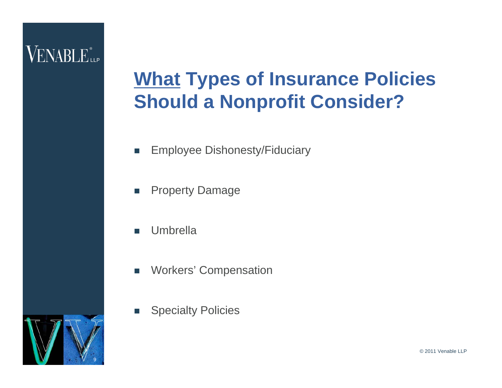# **What Types of Insurance Policies Should a Nonprofit Consider?**

- $\mathbb{R}^3$ Employee Dishonesty/Fiduciary
- $\mathcal{L}_{\mathcal{A}}$ Property Damage
- $\sim$ Umbrella
- $\sim$ Workers' Compensation
- П Specialty Policies

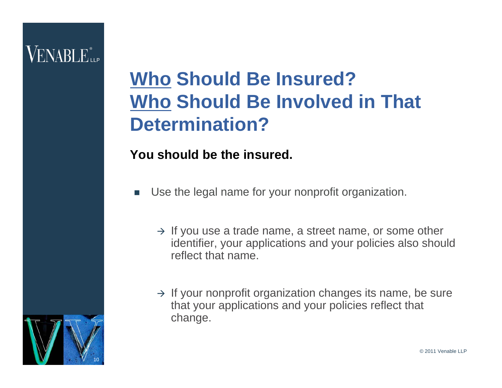# **Who Should Be Insured? Who Should Be Involved in That Determination?**

#### **You should be the insured.**

- П Use the legal name for your nonprofit organization.
	- $\rightarrow$  If you use a trade name, a street name, or some other identifier, your applications and your policies also should reflect that name.
	- $\rightarrow$  If your nonprofit organization changes its name, be sure that your applications and your policies reflect that change.

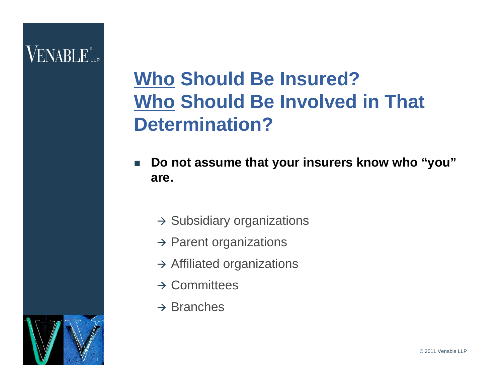- $\mathbb{R}^3$  **Do not assume that your insurers know who "you" are.**
	- $\rightarrow$  Subsidiary organizations
	- $\rightarrow$  Parent organizations
	- $\rightarrow$  Affiliated organizations
	- $\rightarrow$  Committees
	- $\rightarrow$  Branches

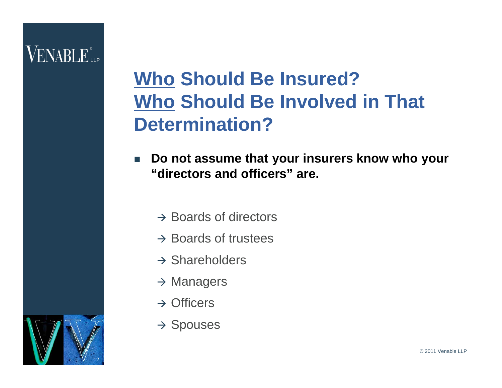- $\mathbb{R}^n$  **Do not assume that your insurers know who your "directors and officers" are.**
	- $\rightarrow$  Boards of directors
	- $\rightarrow$  Boards of trustees
	- $\rightarrow$  Shareholders
	- $\rightarrow$  Managers
	- $\rightarrow$  Officers
	- $\rightarrow$  Spouses

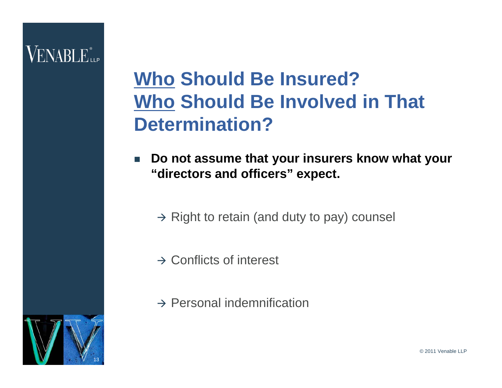- $\mathbb{R}^n$  **Do not assume that your insurers know what your "directors and officers" expect.**
	- $\rightarrow$  Right to retain (and duty to pay) counsel
	- $\rightarrow$  Conflicts of interest
	- $\rightarrow$  Personal indemnification

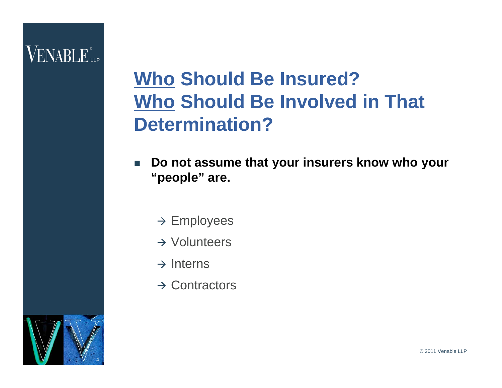- $\overline{\mathbb{R}^n}$  **Do not assume that your insurers know who your "people" are.**
	- $\rightarrow$  Employees
	- $\rightarrow$  Volunteers
	- $\rightarrow$  Interns
	- $\rightarrow$  Contractors

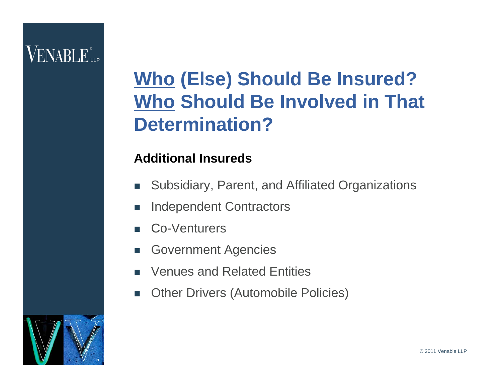# **Who (Else) Should Be Insured? Who Should Be Involved in That Determination?**

#### **Additional Insureds**

- $\mathcal{L}_{\mathcal{A}}$ Subsidiary, Parent, and Affiliated Organizations
- **The State** Independent Contractors
- П Co-Venturers
- П Government Agencies
- П Venues and Related Entities
- $\sim$ Other Drivers (Automobile Policies)

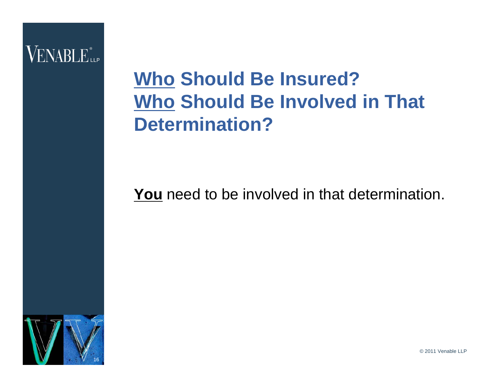### **Who Should Be Insured? Who Should Be Involved in That Determination?**

**You** need to be involved in that determination.



© 2011 Venable LLP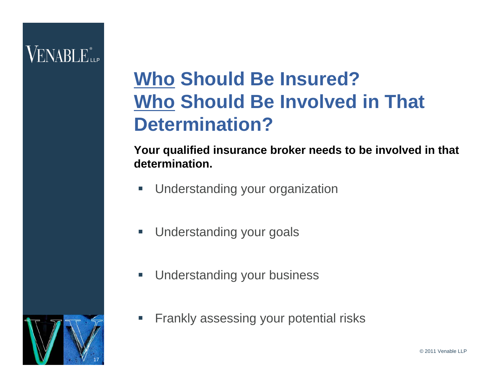### **Who Should Be Insured? Who Should Be Involved in That Determination?**

**Your qualified insurance broker needs to be involved in that determination.**

- $\overline{\phantom{a}}$ Understanding your organization
- $\overline{\phantom{a}}$ Understanding your goals
- $\overline{\phantom{a}}$ Understanding your business
- I. Frankly assessing your potential risks

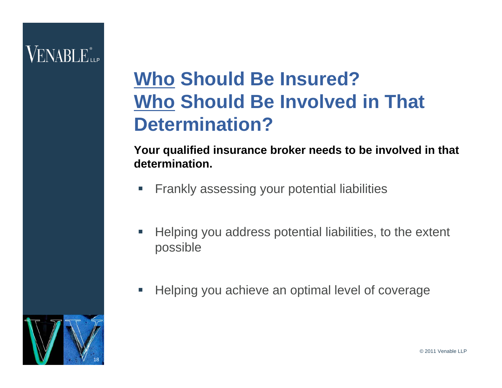### **Who Should Be Insured? Who Should Be Involved in That Determination?**

**Your qualified insurance broker needs to be involved in that determination.**

- $\mathcal{L}_{\mathcal{A}}$ Frankly assessing your potential liabilities
- $\overline{\phantom{a}}$  Helping you address potential liabilities, to the extent possible
- $\overline{\mathbb{R}^n}$ Helping you achieve an optimal level of coverage

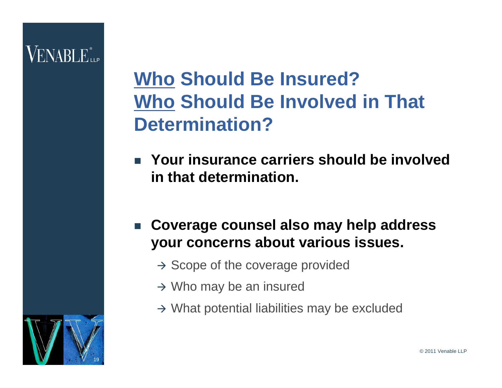# VENABLE"

- $\overline{\phantom{a}}$  **Your insurance carriers should be involved in that determination.**
- $\overline{\phantom{a}}$  **Coverage counsel also may help address your concerns about various issues.**
	- $\rightarrow$  Scope of the coverage provided
	- $\rightarrow$  Who may be an insured
	- $\rightarrow$  What potential liabilities may be excluded

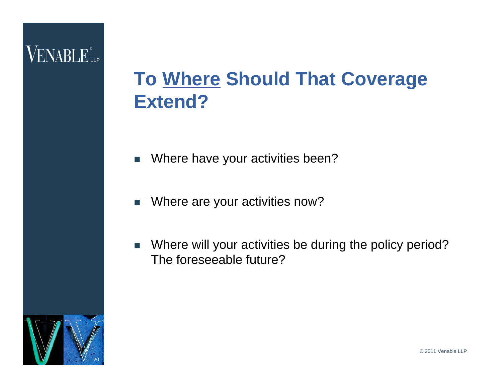### **To Where Should That Coverage Extend?**

- $\overline{\mathbb{R}^n}$ Where have your activities been?
- $\overline{\phantom{a}}$ Where are your activities now?
- $\mathcal{L}_{\mathcal{A}}$  Where will your activities be during the policy period? The foreseeable future?

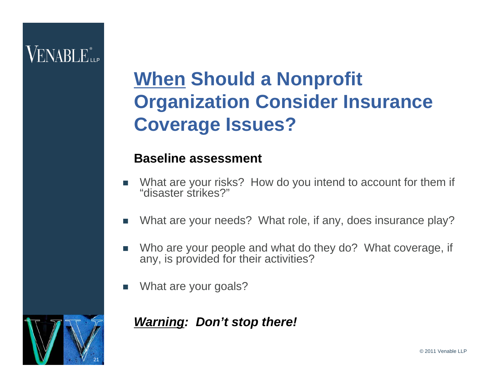# **When Should a Nonprofit Organization Consider Insurance Coverage Issues?**

#### **Baseline assessment**

- П What are your risks? How do you intend to account for them if "disaster strikes?"
- П What are your needs? What role, if any, does insurance play?
- П Who are your people and what do they do? What coverage, if any, is provided for their activities?
- П What are your goals?

#### *Warning: Don't stop there!*

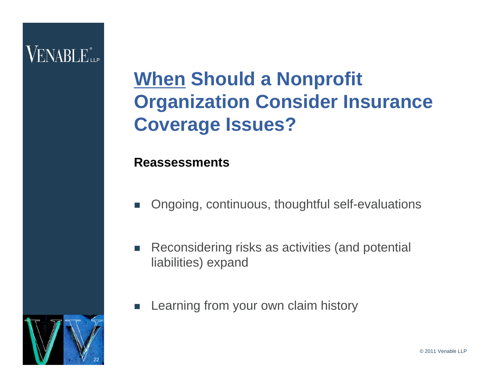# **When Should a Nonprofit Organization Consider Insurance Coverage Issues?**

#### **Reassessments**

- T. Ongoing, continuous, thoughtful self-evaluations
- $\mathbb{R}^n$  Reconsidering risks as activities (and potential liabilities) expand
- П Learning from your own claim history

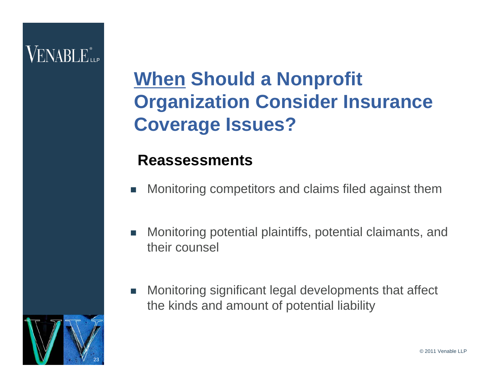# **When Should a Nonprofit Organization Consider Insurance Coverage Issues?**

#### **Reassessments**

- T. Monitoring competitors and claims filed against them
- $\Box$  Monitoring potential plaintiffs, potential claimants, and their counsel
- $\mathcal{L}_{\mathcal{A}}$  Monitoring significant legal developments that affect the kinds and amount of potential liability

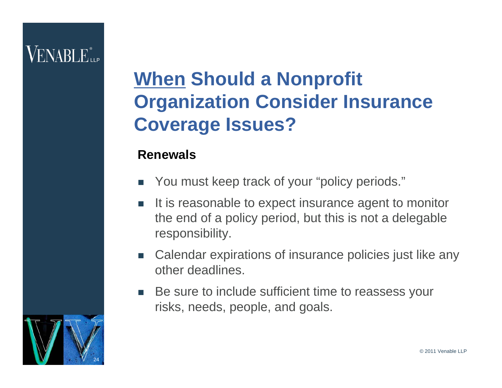# **When Should a Nonprofit Organization Consider Insurance Coverage Issues?**

#### **Renewals**

- П You must keep track of your "policy periods."
- It is reasonable to expect insurance agent to monitor the end of a policy period, but this is not a delegable responsibility.
- П Calendar expirations of insurance policies just like any other deadlines.
- **The Common**  Be sure to include sufficient time to reassess your risks, needs, people, and goals.

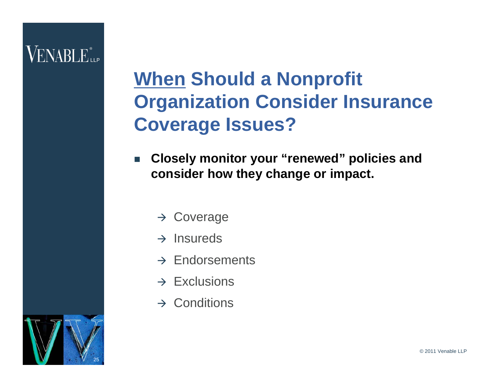# **When Should a Nonprofit Organization Consider Insurance Coverage Issues?**

- $\overline{\phantom{a}}$  **Closely monitor your "renewed" policies and consider how they change or impact.**
	- $\rightarrow$  Coverage
	- $\rightarrow$  Insureds
	- $\rightarrow$  Endorsements
	- $\rightarrow$  Exclusions
	- $\rightarrow$  Conditions

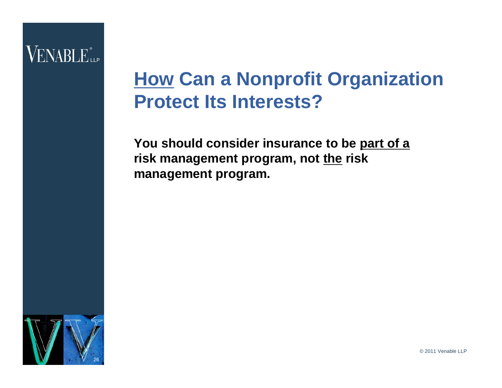#### **How Can a Nonprofit Organization Protect Its Interests?**

**You should consider insurance to be part of a risk management program, not the risk management program.**



© 2011 Venable LLP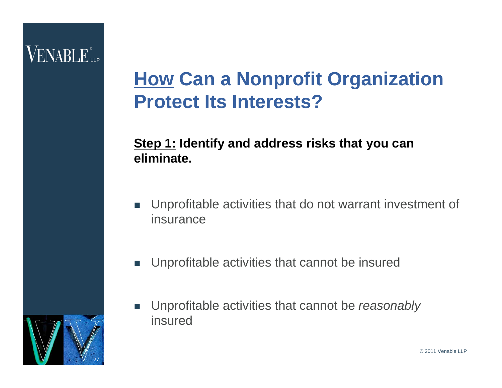### **How Can a Nonprofit Organization Protect Its Interests?**

#### **Step 1: Identify and address risks that you can eliminate.**

- $\overline{\mathbb{R}^n}$  Unprofitable activities that do not warrant investment of insurance
- T. Unprofitable activities that cannot be insured
- П Unprofitable activities that cannot be *reasonably*  insured

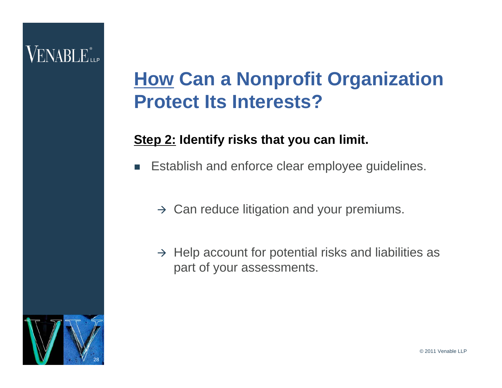# VENABLE"

### **How Can a Nonprofit Organization Protect Its Interests?**

#### **Step 2: Identify risks that you can limit.**

- П Establish and enforce clear employee guidelines.
	- $\rightarrow$  Can reduce litigation and your premiums.
	- $\rightarrow$  Help account for potential risks and liabilities as part of your assessments.

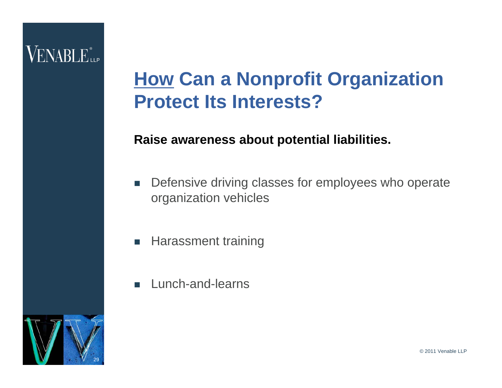### **How Can a Nonprofit Organization Protect Its Interests?**

#### **Raise awareness about potential liabilities.**

- $\mathbb{R}^n$  Defensive driving classes for employees who operate organization vehicles
- $\mathbb{R}^n$ Harassment training
- П Lunch-and-learns

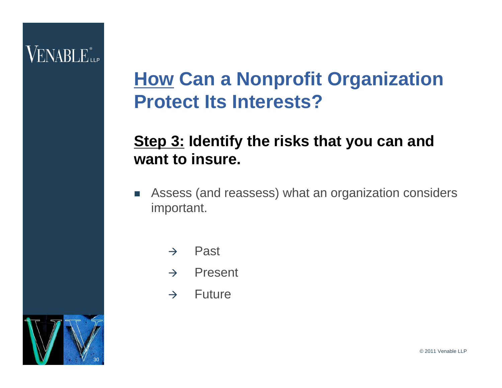#### **How Can a Nonprofit Organization Protect Its Interests?**

#### **Step 3: Identify the risks that you can and want to insure.**

- $\mathcal{L}_{\mathcal{A}}$  Assess (and reassess) what an organization considers important.
	- $\rightarrow$ Past
	- $\rightarrow$ Present
	- $\rightarrow$  Future

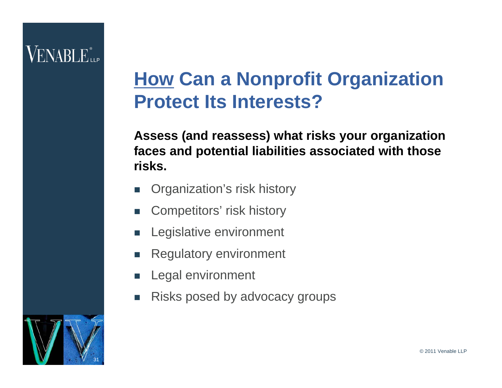### **How Can a Nonprofit Organization Protect Its Interests?**

#### **Assess (and reassess) what risks your organization faces and potential liabilities associated with those risks.**

- П Organization's risk history
- **Tale** Competitors' risk history
- П Legislative environment
- П Regulatory environment
- П Legal environment
- П Risks posed by advocacy groups

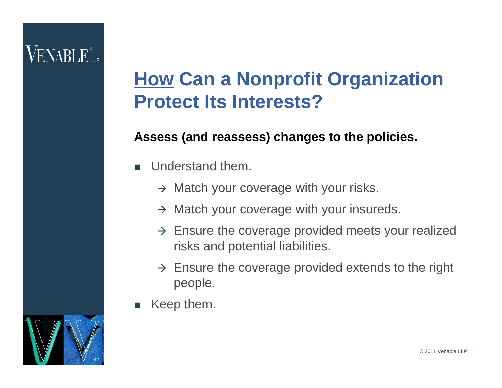### **How Can a Nonprofit Organization Protect Its Interests?**

#### **Assess (and reassess) changes to the policies.**

- П Understand them.
	- $\rightarrow$  Match your coverage with your risks.
	- $\rightarrow$  Match your coverage with your insureds.
	- $\rightarrow$  Ensure the coverage provided meets your realized risks and potential liabilities.
	- $\rightarrow$  Ensure the coverage provided extends to the right people.
- П Keep them.

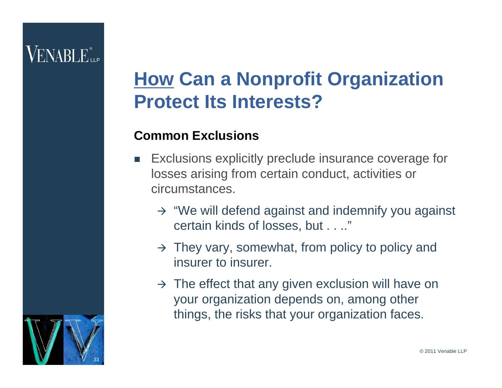# VENARLE"...

### **How Can a Nonprofit Organization Protect Its Interests?**

#### **Common Exclusions**

- $\mathcal{L}_{\mathcal{A}}$  Exclusions explicitly preclude insurance coverage for losses arising from certain conduct, activities or circumstances.
	- $\rightarrow$  "We will defend against and indemnify you against certain kinds of losses, but . . .."
	- $\rightarrow$  They vary, somewhat, from policy to policy and insurer to insurer.
	- $\rightarrow$  The effect that any given exclusion will have on your organization depends on, among other things, the risks that your organization faces.

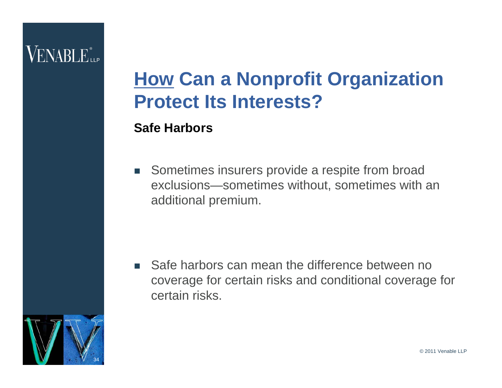### **How Can a Nonprofit Organization Protect Its Interests?**

#### **Safe Harbors**

 $\mathcal{L}_{\mathcal{A}}$  Sometimes insurers provide a respite from broad exclusions—sometimes without, sometimes with an additional premium.

**Safe harbors can mean the difference between no** coverage for certain risks and conditional coverage for certain risks.

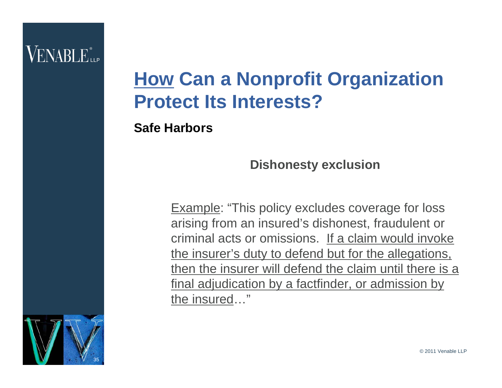### **How Can a Nonprofit Organization Protect Its Interests?**

**Safe Harbors**

**Dishonesty exclusion**

Example: "This policy excludes coverage for loss arising from an insured's dishonest, fraudulent or criminal acts or omissions. If a claim would invoke the insurer's duty to defend but for the allegations, then the insurer will defend the claim until there is a final adjudication by a factfinder, or admission by the insured…"

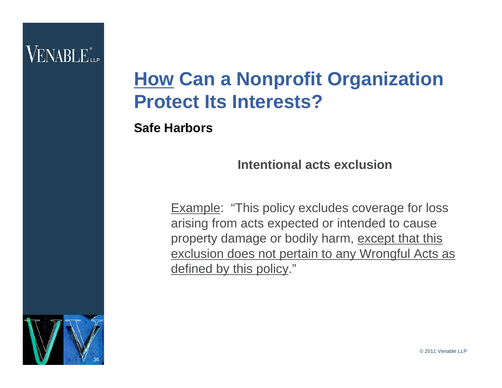### **How Can a Nonprofit Organization Protect Its Interests?**

**Safe Harbors**

**Intentional acts exclusion**

Example: "This policy excludes coverage for loss arising from acts expected or intended to cause property damage or bodily harm, except that this exclusion does not pertain to any Wrongful Acts as defined by this policy."



© 2011 Venable LLP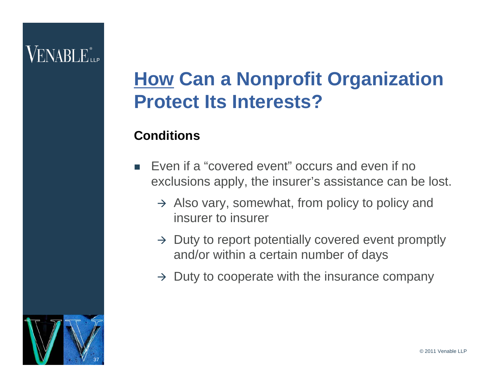# VENARLE<sup>®</sup>

### **How Can a Nonprofit Organization Protect Its Interests?**

#### **Conditions**

- П Even if a "covered event" occurs and even if no exclusions apply, the insurer's assistance can be lost.
	- $\rightarrow$  Also vary, somewhat, from policy to policy and insurer to insurer
	- $\rightarrow$  Duty to report potentially covered event promptly and/or within a certain number of days
	- $\rightarrow$  Duty to cooperate with the insurance company

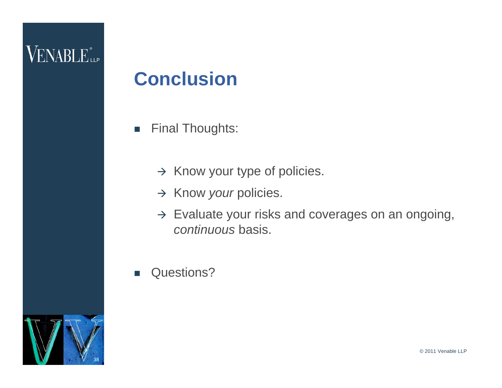#### **Conclusion**

- $\mathbb{R}^n$  Final Thoughts:
	- $\rightarrow$  Know your type of policies.
	- → Know *your* policies.
	- $\rightarrow$  Evaluate your risks and coverages on an ongoing, *continuous* basis.
- T. Questions?